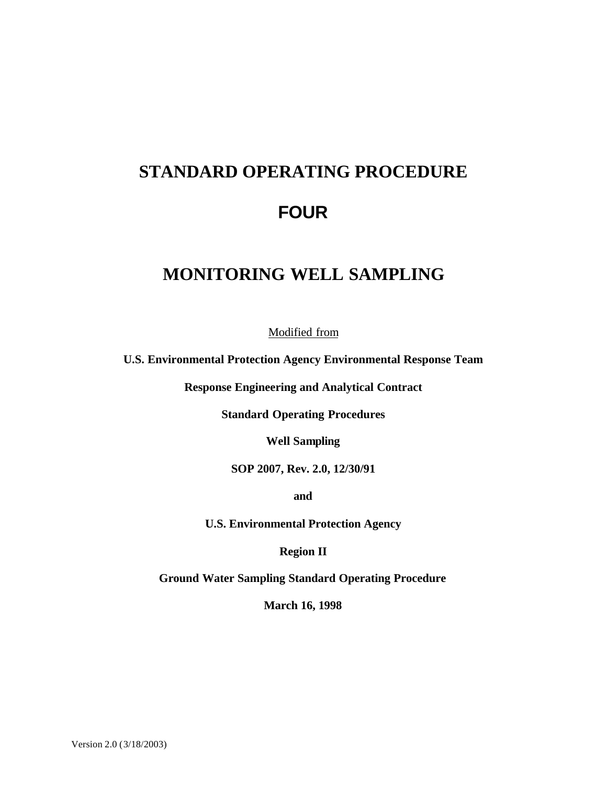# **STANDARD OPERATING PROCEDURE FOUR**

# **MONITORING WELL SAMPLING**

Modified from

**U.S. Environmental Protection Agency Environmental Response Team**

**Response Engineering and Analytical Contract**

**Standard Operating Procedures**

**Well Sampling**

**SOP 2007, Rev. 2.0, 12/30/91**

**and** 

**U.S. Environmental Protection Agency**

**Region II**

**Ground Water Sampling Standard Operating Procedure**

**March 16, 1998**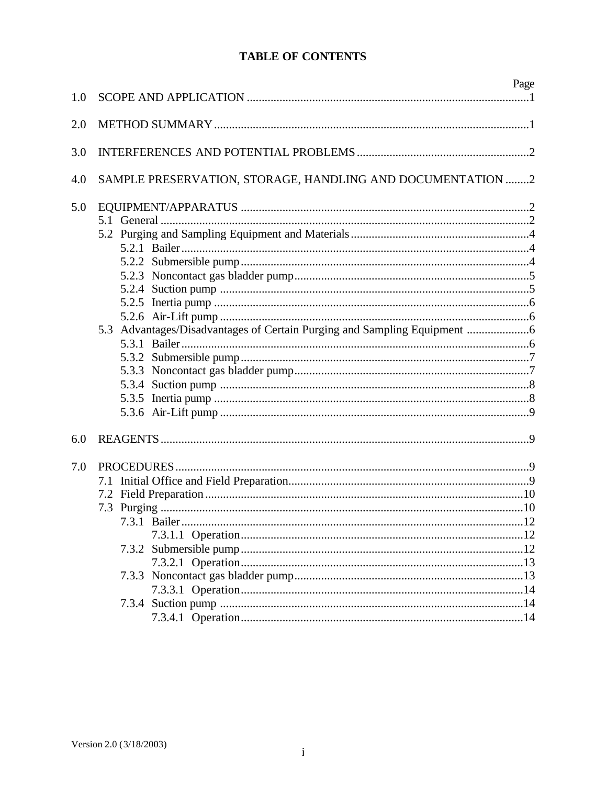# **TABLE OF CONTENTS**

|     |                                                                        | Page |
|-----|------------------------------------------------------------------------|------|
| 1.0 |                                                                        |      |
| 2.0 |                                                                        |      |
| 3.0 |                                                                        |      |
| 4.0 | SAMPLE PRESERVATION, STORAGE, HANDLING AND DOCUMENTATION 2             |      |
| 5.0 |                                                                        |      |
|     |                                                                        |      |
|     |                                                                        |      |
|     |                                                                        |      |
|     |                                                                        |      |
|     |                                                                        |      |
|     |                                                                        |      |
|     |                                                                        |      |
|     |                                                                        |      |
|     | 5.3 Advantages/Disadvantages of Certain Purging and Sampling Equipment |      |
|     |                                                                        |      |
|     |                                                                        |      |
|     |                                                                        |      |
|     |                                                                        |      |
|     |                                                                        |      |
|     |                                                                        |      |
| 6.0 |                                                                        |      |
|     |                                                                        |      |
| 7.0 |                                                                        |      |
|     |                                                                        |      |
|     |                                                                        |      |
|     |                                                                        |      |
|     |                                                                        |      |
|     |                                                                        |      |
|     |                                                                        |      |
|     |                                                                        |      |
|     |                                                                        |      |
|     |                                                                        |      |
|     |                                                                        |      |
|     |                                                                        |      |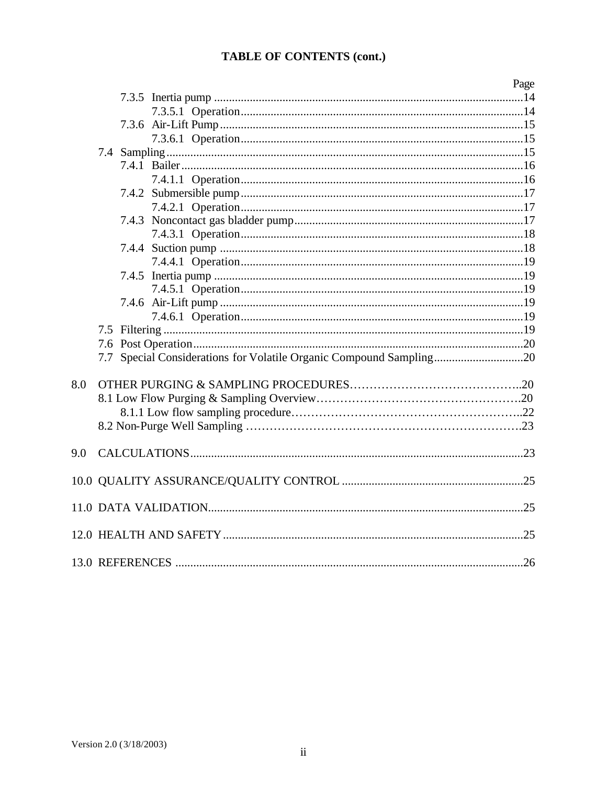# TABLE OF CONTENTS (cont.)

|     |                                                                     | Page |
|-----|---------------------------------------------------------------------|------|
|     |                                                                     |      |
|     |                                                                     |      |
|     |                                                                     |      |
|     |                                                                     |      |
|     |                                                                     |      |
|     |                                                                     |      |
|     |                                                                     |      |
|     |                                                                     |      |
|     |                                                                     |      |
|     |                                                                     |      |
|     |                                                                     |      |
|     |                                                                     |      |
|     |                                                                     |      |
|     |                                                                     |      |
|     |                                                                     |      |
|     |                                                                     |      |
|     |                                                                     |      |
|     |                                                                     |      |
|     |                                                                     |      |
|     | 7.7 Special Considerations for Volatile Organic Compound Sampling20 |      |
| 8.0 |                                                                     |      |
|     |                                                                     |      |
|     |                                                                     |      |
|     |                                                                     |      |
|     |                                                                     |      |
| 9.0 |                                                                     |      |
|     |                                                                     |      |
|     |                                                                     |      |
|     |                                                                     |      |
|     |                                                                     |      |
|     |                                                                     |      |
|     |                                                                     |      |
|     |                                                                     |      |
|     |                                                                     |      |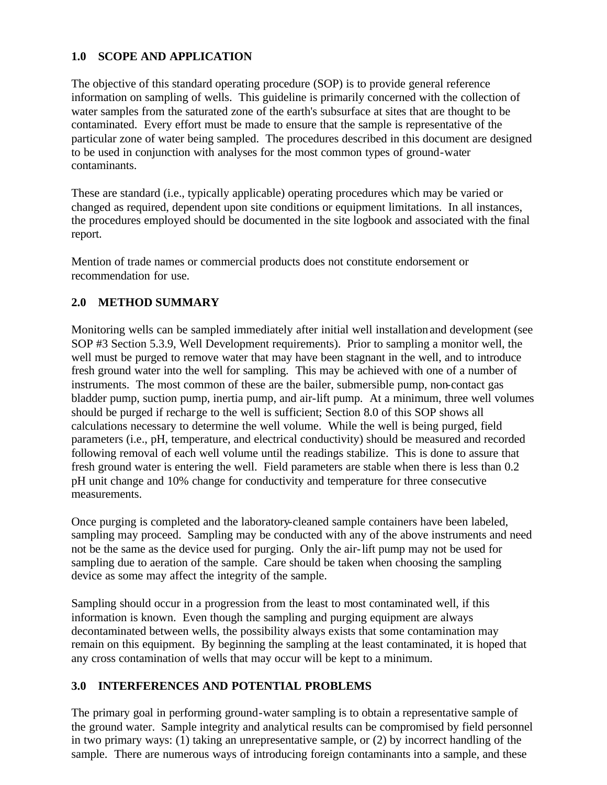#### **1.0 SCOPE AND APPLICATION**

The objective of this standard operating procedure (SOP) is to provide general reference information on sampling of wells. This guideline is primarily concerned with the collection of water samples from the saturated zone of the earth's subsurface at sites that are thought to be contaminated. Every effort must be made to ensure that the sample is representative of the particular zone of water being sampled. The procedures described in this document are designed to be used in conjunction with analyses for the most common types of ground-water contaminants.

These are standard (i.e., typically applicable) operating procedures which may be varied or changed as required, dependent upon site conditions or equipment limitations. In all instances, the procedures employed should be documented in the site logbook and associated with the final report.

Mention of trade names or commercial products does not constitute endorsement or recommendation for use.

# **2.0 METHOD SUMMARY**

Monitoring wells can be sampled immediately after initial well installation and development (see SOP #3 Section 5.3.9, Well Development requirements). Prior to sampling a monitor well, the well must be purged to remove water that may have been stagnant in the well, and to introduce fresh ground water into the well for sampling. This may be achieved with one of a number of instruments. The most common of these are the bailer, submersible pump, non-contact gas bladder pump, suction pump, inertia pump, and air-lift pump. At a minimum, three well volumes should be purged if recharge to the well is sufficient; Section 8.0 of this SOP shows all calculations necessary to determine the well volume. While the well is being purged, field parameters (i.e., pH, temperature, and electrical conductivity) should be measured and recorded following removal of each well volume until the readings stabilize. This is done to assure that fresh ground water is entering the well. Field parameters are stable when there is less than 0.2 pH unit change and 10% change for conductivity and temperature for three consecutive measurements.

Once purging is completed and the laboratory-cleaned sample containers have been labeled, sampling may proceed. Sampling may be conducted with any of the above instruments and need not be the same as the device used for purging. Only the air-lift pump may not be used for sampling due to aeration of the sample. Care should be taken when choosing the sampling device as some may affect the integrity of the sample.

Sampling should occur in a progression from the least to most contaminated well, if this information is known. Even though the sampling and purging equipment are always decontaminated between wells, the possibility always exists that some contamination may remain on this equipment. By beginning the sampling at the least contaminated, it is hoped that any cross contamination of wells that may occur will be kept to a minimum.

#### **3.0 INTERFERENCES AND POTENTIAL PROBLEMS**

The primary goal in performing ground-water sampling is to obtain a representative sample of the ground water. Sample integrity and analytical results can be compromised by field personnel in two primary ways: (1) taking an unrepresentative sample, or (2) by incorrect handling of the sample. There are numerous ways of introducing foreign contaminants into a sample, and these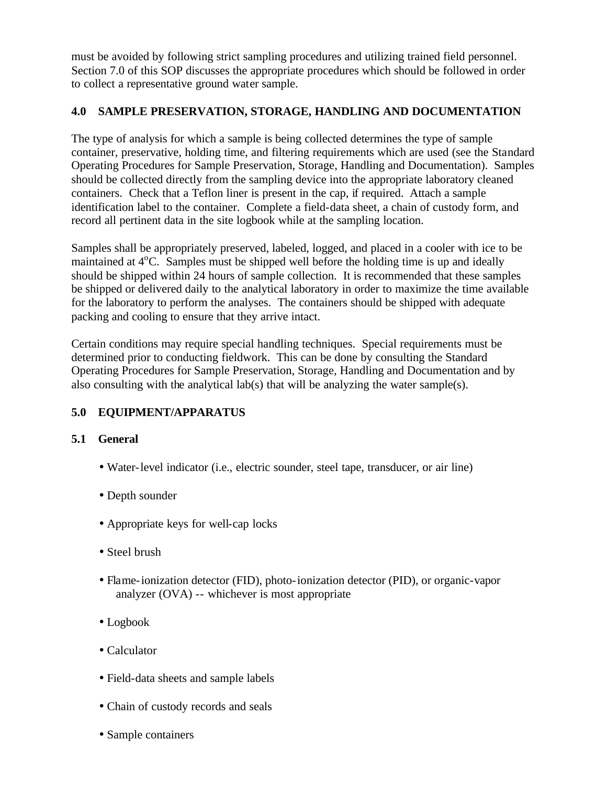must be avoided by following strict sampling procedures and utilizing trained field personnel. Section 7.0 of this SOP discusses the appropriate procedures which should be followed in order to collect a representative ground water sample.

# **4.0 SAMPLE PRESERVATION, STORAGE, HANDLING AND DOCUMENTATION**

The type of analysis for which a sample is being collected determines the type of sample container, preservative, holding time, and filtering requirements which are used (see the Standard Operating Procedures for Sample Preservation, Storage, Handling and Documentation). Samples should be collected directly from the sampling device into the appropriate laboratory cleaned containers. Check that a Teflon liner is present in the cap, if required. Attach a sample identification label to the container. Complete a field-data sheet, a chain of custody form, and record all pertinent data in the site logbook while at the sampling location.

Samples shall be appropriately preserved, labeled, logged, and placed in a cooler with ice to be maintained at  $4^{\circ}$ C. Samples must be shipped well before the holding time is up and ideally should be shipped within 24 hours of sample collection. It is recommended that these samples be shipped or delivered daily to the analytical laboratory in order to maximize the time available for the laboratory to perform the analyses. The containers should be shipped with adequate packing and cooling to ensure that they arrive intact.

Certain conditions may require special handling techniques. Special requirements must be determined prior to conducting fieldwork. This can be done by consulting the Standard Operating Procedures for Sample Preservation, Storage, Handling and Documentation and by also consulting with the analytical lab(s) that will be analyzing the water sample(s).

# **5.0 EQUIPMENT/APPARATUS**

# **5.1 General**

- Water-level indicator (i.e., electric sounder, steel tape, transducer, or air line)
- Depth sounder
- Appropriate keys for well-cap locks
- Steel brush
- Flame-ionization detector (FID), photo-ionization detector (PID), or organic-vapor analyzer (OVA) -- whichever is most appropriate
- Logbook
- Calculator
- Field-data sheets and sample labels
- Chain of custody records and seals
- Sample containers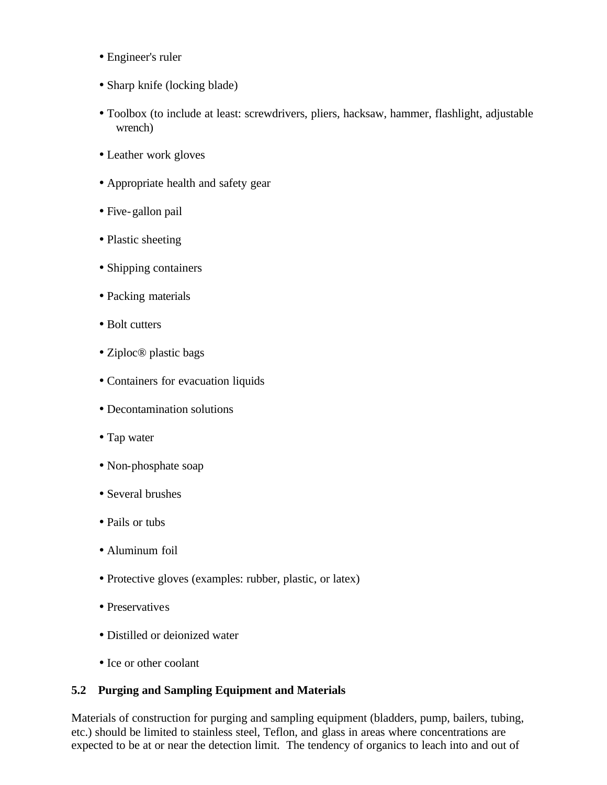- Engineer's ruler
- Sharp knife (locking blade)
- Toolbox (to include at least: screwdrivers, pliers, hacksaw, hammer, flashlight, adjustable wrench)
- Leather work gloves
- Appropriate health and safety gear
- Five-gallon pail
- Plastic sheeting
- Shipping containers
- Packing materials
- Bolt cutters
- Ziploc® plastic bags
- Containers for evacuation liquids
- Decontamination solutions
- Tap water
- Non-phosphate soap
- Several brushes
- Pails or tubs
- Aluminum foil
- Protective gloves (examples: rubber, plastic, or latex)
- Preservatives
- Distilled or deionized water
- Ice or other coolant

#### **5.2 Purging and Sampling Equipment and Materials**

Materials of construction for purging and sampling equipment (bladders, pump, bailers, tubing, etc.) should be limited to stainless steel, Teflon, and glass in areas where concentrations are expected to be at or near the detection limit. The tendency of organics to leach into and out of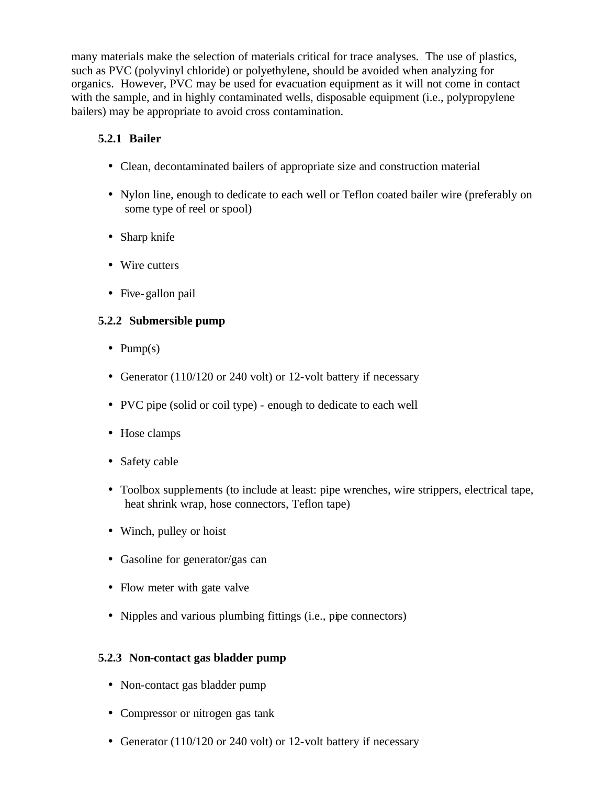many materials make the selection of materials critical for trace analyses. The use of plastics, such as PVC (polyvinyl chloride) or polyethylene, should be avoided when analyzing for organics. However, PVC may be used for evacuation equipment as it will not come in contact with the sample, and in highly contaminated wells, disposable equipment (i.e., polypropylene bailers) may be appropriate to avoid cross contamination.

# **5.2.1 Bailer**

- Clean, decontaminated bailers of appropriate size and construction material
- Nylon line, enough to dedicate to each well or Teflon coated bailer wire (preferably on some type of reel or spool)
- Sharp knife
- Wire cutters
- Five-gallon pail

# **5.2.2 Submersible pump**

- Pump $(s)$
- Generator (110/120 or 240 volt) or 12-volt battery if necessary
- PVC pipe (solid or coil type) enough to dedicate to each well
- Hose clamps
- Safety cable
- Toolbox supplements (to include at least: pipe wrenches, wire strippers, electrical tape, heat shrink wrap, hose connectors, Teflon tape)
- Winch, pulley or hoist
- Gasoline for generator/gas can
- Flow meter with gate valve
- Nipples and various plumbing fittings (i.e., pipe connectors)

#### **5.2.3 Non-contact gas bladder pump**

- Non-contact gas bladder pump
- Compressor or nitrogen gas tank
- Generator (110/120 or 240 volt) or 12-volt battery if necessary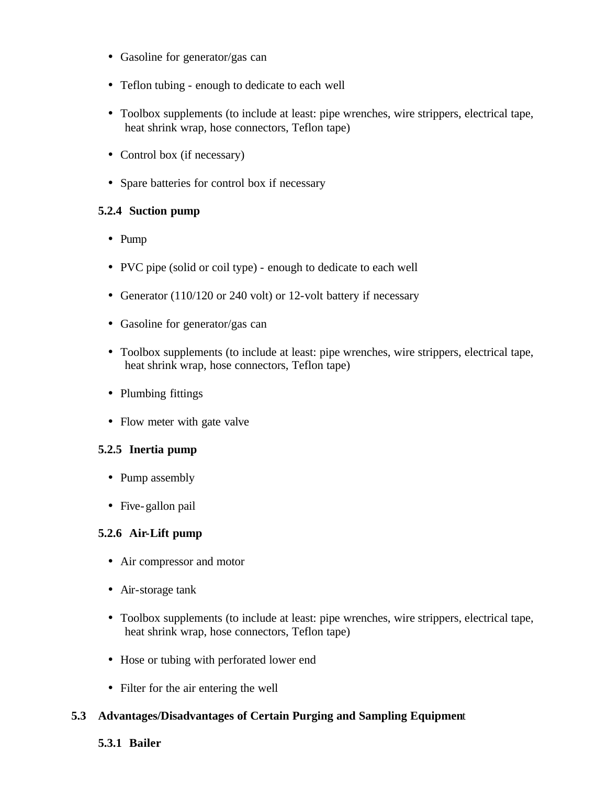- Gasoline for generator/gas can
- Teflon tubing enough to dedicate to each well
- Toolbox supplements (to include at least: pipe wrenches, wire strippers, electrical tape, heat shrink wrap, hose connectors, Teflon tape)
- Control box (if necessary)
- Spare batteries for control box if necessary

#### **5.2.4 Suction pump**

- Pump
- PVC pipe (solid or coil type) enough to dedicate to each well
- Generator (110/120 or 240 volt) or 12-volt battery if necessary
- Gasoline for generator/gas can
- Toolbox supplements (to include at least: pipe wrenches, wire strippers, electrical tape, heat shrink wrap, hose connectors, Teflon tape)
- Plumbing fittings
- Flow meter with gate valve

#### **5.2.5 Inertia pump**

- Pump assembly
- Five-gallon pail

#### **5.2.6 Air-Lift pump**

- Air compressor and motor
- Air-storage tank
- Toolbox supplements (to include at least: pipe wrenches, wire strippers, electrical tape, heat shrink wrap, hose connectors, Teflon tape)
- Hose or tubing with perforated lower end
- Filter for the air entering the well

#### **5.3 Advantages/Disadvantages of Certain Purging and Sampling Equipmen**t

#### **5.3.1 Bailer**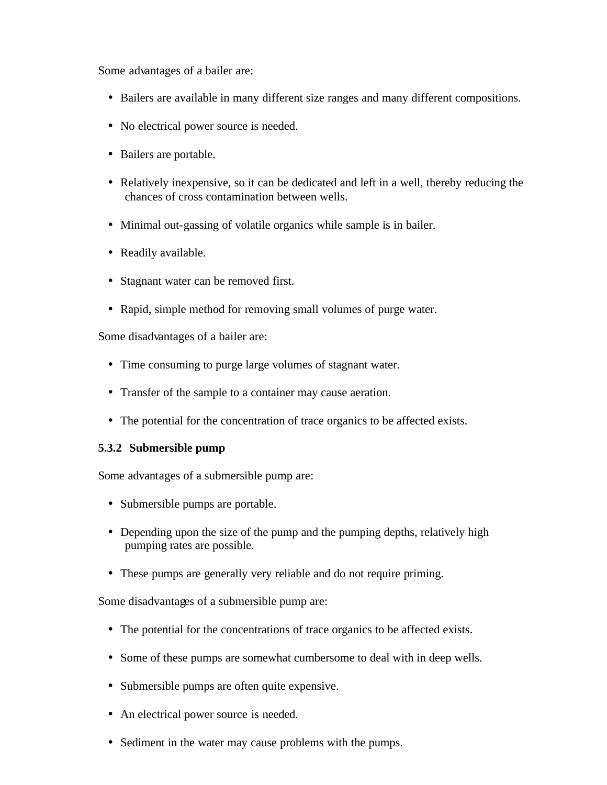Some advantages of a bailer are:

- Bailers are available in many different size ranges and many different compositions.
- No electrical power source is needed.
- Bailers are portable.
- Relatively inexpensive, so it can be dedicated and left in a well, thereby reducing the chances of cross contamination between wells.
- Minimal out-gassing of volatile organics while sample is in bailer.
- Readily available.
- Stagnant water can be removed first.
- Rapid, simple method for removing small volumes of purge water.

Some disadvantages of a bailer are:

- Time consuming to purge large volumes of stagnant water.
- Transfer of the sample to a container may cause aeration.
- The potential for the concentration of trace organics to be affected exists.

#### **5.3.2 Submersible pump**

Some advantages of a submersible pump are:

- Submersible pumps are portable.
- Depending upon the size of the pump and the pumping depths, relatively high pumping rates are possible.
- These pumps are generally very reliable and do not require priming.

Some disadvantages of a submersible pump are:

- The potential for the concentrations of trace organics to be affected exists.
- Some of these pumps are somewhat cumbersome to deal with in deep wells.
- Submersible pumps are often quite expensive.
- An electrical power source is needed.
- Sediment in the water may cause problems with the pumps.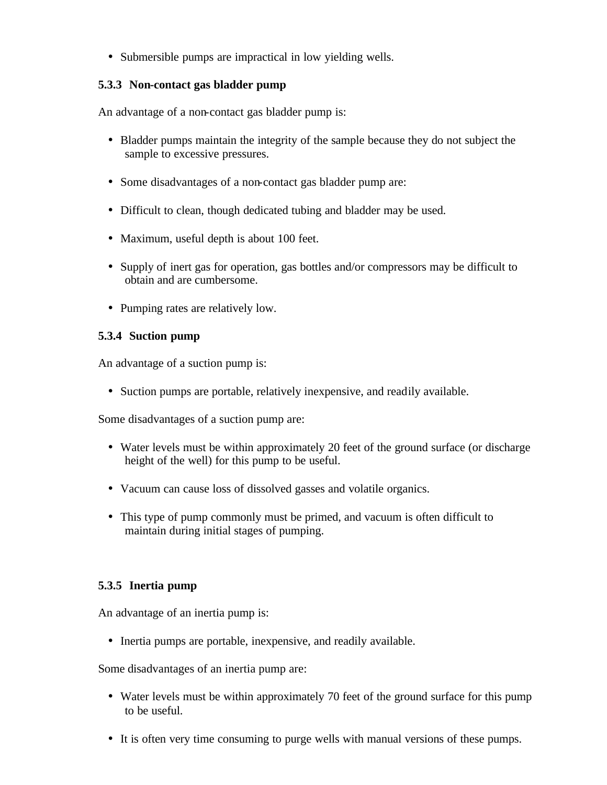• Submersible pumps are impractical in low yielding wells.

#### **5.3.3 Non-contact gas bladder pump**

An advantage of a non-contact gas bladder pump is:

- Bladder pumps maintain the integrity of the sample because they do not subject the sample to excessive pressures.
- Some disadvantages of a non-contact gas bladder pump are:
- Difficult to clean, though dedicated tubing and bladder may be used.
- Maximum, useful depth is about 100 feet.
- Supply of inert gas for operation, gas bottles and/or compressors may be difficult to obtain and are cumbersome.
- Pumping rates are relatively low.

#### **5.3.4 Suction pump**

An advantage of a suction pump is:

• Suction pumps are portable, relatively inexpensive, and readily available.

Some disadvantages of a suction pump are:

- Water levels must be within approximately 20 feet of the ground surface (or discharge height of the well) for this pump to be useful.
- Vacuum can cause loss of dissolved gasses and volatile organics.
- This type of pump commonly must be primed, and vacuum is often difficult to maintain during initial stages of pumping.

#### **5.3.5 Inertia pump**

An advantage of an inertia pump is:

• Inertia pumps are portable, inexpensive, and readily available.

Some disadvantages of an inertia pump are:

- Water levels must be within approximately 70 feet of the ground surface for this pump to be useful.
- It is often very time consuming to purge wells with manual versions of these pumps.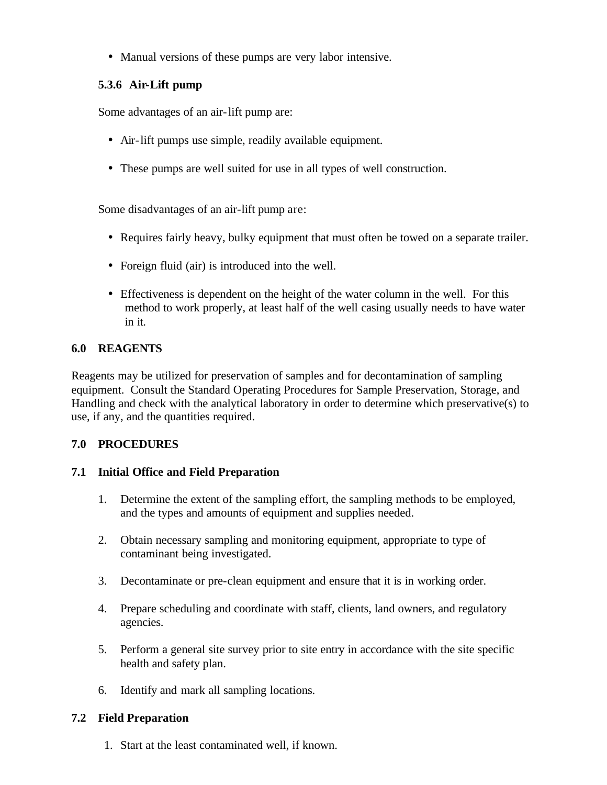• Manual versions of these pumps are very labor intensive.

# **5.3.6 Air-Lift pump**

Some advantages of an air-lift pump are:

- Air-lift pumps use simple, readily available equipment.
- These pumps are well suited for use in all types of well construction.

Some disadvantages of an air-lift pump are:

- Requires fairly heavy, bulky equipment that must often be towed on a separate trailer.
- Foreign fluid (air) is introduced into the well.
- Effectiveness is dependent on the height of the water column in the well. For this method to work properly, at least half of the well casing usually needs to have water in it.

#### **6.0 REAGENTS**

Reagents may be utilized for preservation of samples and for decontamination of sampling equipment. Consult the Standard Operating Procedures for Sample Preservation, Storage, and Handling and check with the analytical laboratory in order to determine which preservative(s) to use, if any, and the quantities required.

#### **7.0 PROCEDURES**

#### **7.1 Initial Office and Field Preparation**

- 1. Determine the extent of the sampling effort, the sampling methods to be employed, and the types and amounts of equipment and supplies needed.
- 2. Obtain necessary sampling and monitoring equipment, appropriate to type of contaminant being investigated.
- 3. Decontaminate or pre-clean equipment and ensure that it is in working order.
- 4. Prepare scheduling and coordinate with staff, clients, land owners, and regulatory agencies.
- 5. Perform a general site survey prior to site entry in accordance with the site specific health and safety plan.
- 6. Identify and mark all sampling locations.

#### **7.2 Field Preparation**

1. Start at the least contaminated well, if known.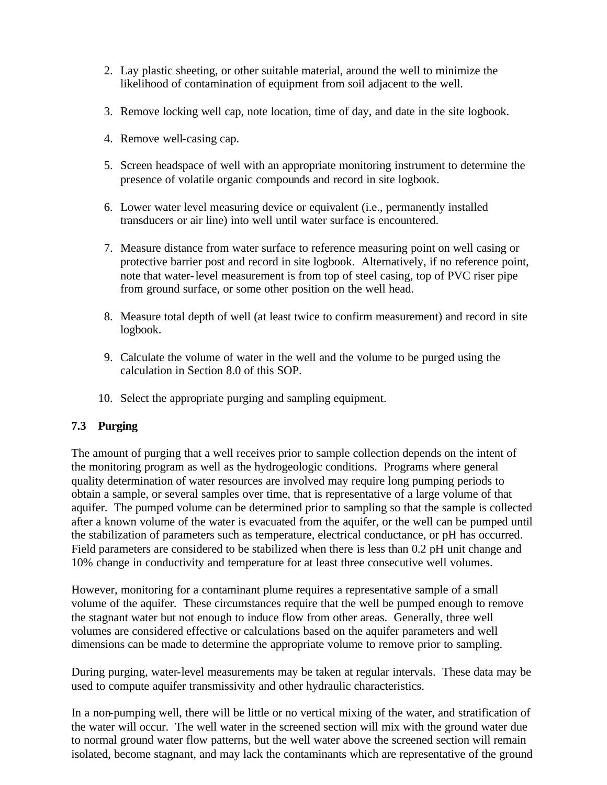- 2. Lay plastic sheeting, or other suitable material, around the well to minimize the likelihood of contamination of equipment from soil adjacent to the well.
- 3. Remove locking well cap, note location, time of day, and date in the site logbook.
- 4. Remove well-casing cap.
- 5. Screen headspace of well with an appropriate monitoring instrument to determine the presence of volatile organic compounds and record in site logbook.
- 6. Lower water level measuring device or equivalent (i.e., permanently installed transducers or air line) into well until water surface is encountered.
- 7. Measure distance from water surface to reference measuring point on well casing or protective barrier post and record in site logbook. Alternatively, if no reference point, note that water-level measurement is from top of steel casing, top of PVC riser pipe from ground surface, or some other position on the well head.
- 8. Measure total depth of well (at least twice to confirm measurement) and record in site logbook.
- 9. Calculate the volume of water in the well and the volume to be purged using the calculation in Section 8.0 of this SOP.
- 10. Select the appropriate purging and sampling equipment.

#### **7.3 Purging**

The amount of purging that a well receives prior to sample collection depends on the intent of the monitoring program as well as the hydrogeologic conditions. Programs where general quality determination of water resources are involved may require long pumping periods to obtain a sample, or several samples over time, that is representative of a large volume of that aquifer. The pumped volume can be determined prior to sampling so that the sample is collected after a known volume of the water is evacuated from the aquifer, or the well can be pumped until the stabilization of parameters such as temperature, electrical conductance, or pH has occurred. Field parameters are considered to be stabilized when there is less than 0.2 pH unit change and 10% change in conductivity and temperature for at least three consecutive well volumes.

However, monitoring for a contaminant plume requires a representative sample of a small volume of the aquifer. These circumstances require that the well be pumped enough to remove the stagnant water but not enough to induce flow from other areas. Generally, three well volumes are considered effective or calculations based on the aquifer parameters and well dimensions can be made to determine the appropriate volume to remove prior to sampling.

During purging, water-level measurements may be taken at regular intervals. These data may be used to compute aquifer transmissivity and other hydraulic characteristics.

In a non-pumping well, there will be little or no vertical mixing of the water, and stratification of the water will occur. The well water in the screened section will mix with the ground water due to normal ground water flow patterns, but the well water above the screened section will remain isolated, become stagnant, and may lack the contaminants which are representative of the ground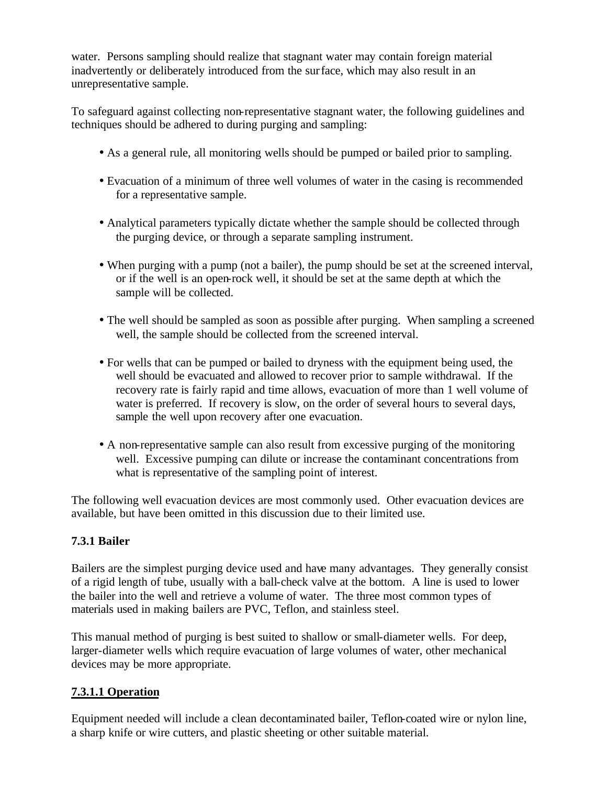water. Persons sampling should realize that stagnant water may contain foreign material inadvertently or deliberately introduced from the surface, which may also result in an unrepresentative sample.

To safeguard against collecting non-representative stagnant water, the following guidelines and techniques should be adhered to during purging and sampling:

- As a general rule, all monitoring wells should be pumped or bailed prior to sampling.
- Evacuation of a minimum of three well volumes of water in the casing is recommended for a representative sample.
- Analytical parameters typically dictate whether the sample should be collected through the purging device, or through a separate sampling instrument.
- When purging with a pump (not a bailer), the pump should be set at the screened interval, or if the well is an open-rock well, it should be set at the same depth at which the sample will be collected.
- The well should be sampled as soon as possible after purging. When sampling a screened well, the sample should be collected from the screened interval.
- For wells that can be pumped or bailed to dryness with the equipment being used, the well should be evacuated and allowed to recover prior to sample withdrawal. If the recovery rate is fairly rapid and time allows, evacuation of more than 1 well volume of water is preferred. If recovery is slow, on the order of several hours to several days, sample the well upon recovery after one evacuation.
- A non-representative sample can also result from excessive purging of the monitoring well. Excessive pumping can dilute or increase the contaminant concentrations from what is representative of the sampling point of interest.

The following well evacuation devices are most commonly used. Other evacuation devices are available, but have been omitted in this discussion due to their limited use.

# **7.3.1 Bailer**

Bailers are the simplest purging device used and have many advantages. They generally consist of a rigid length of tube, usually with a ball-check valve at the bottom. A line is used to lower the bailer into the well and retrieve a volume of water. The three most common types of materials used in making bailers are PVC, Teflon, and stainless steel.

This manual method of purging is best suited to shallow or small-diameter wells. For deep, larger-diameter wells which require evacuation of large volumes of water, other mechanical devices may be more appropriate.

# **7.3.1.1 Operation**

Equipment needed will include a clean decontaminated bailer, Teflon-coated wire or nylon line, a sharp knife or wire cutters, and plastic sheeting or other suitable material.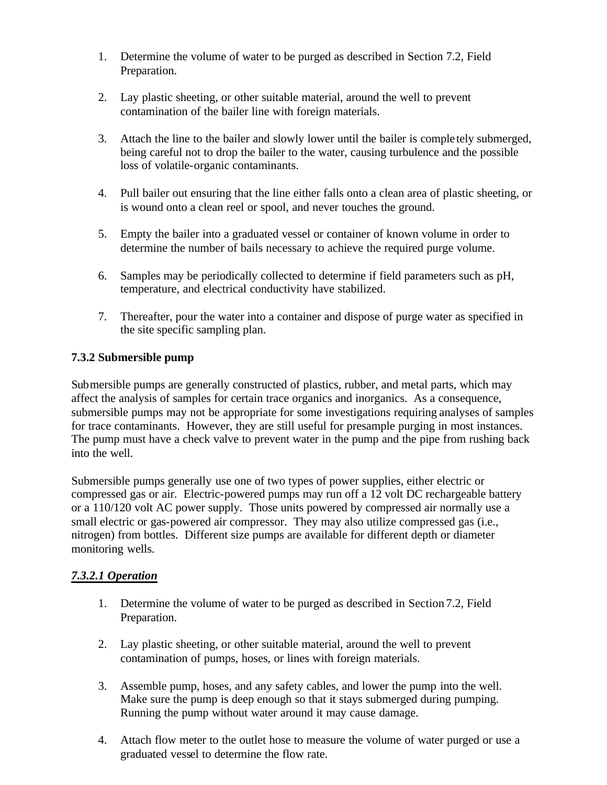- 1. Determine the volume of water to be purged as described in Section 7.2, Field Preparation.
- 2. Lay plastic sheeting, or other suitable material, around the well to prevent contamination of the bailer line with foreign materials.
- 3. Attach the line to the bailer and slowly lower until the bailer is comple tely submerged, being careful not to drop the bailer to the water, causing turbulence and the possible loss of volatile-organic contaminants.
- 4. Pull bailer out ensuring that the line either falls onto a clean area of plastic sheeting, or is wound onto a clean reel or spool, and never touches the ground.
- 5. Empty the bailer into a graduated vessel or container of known volume in order to determine the number of bails necessary to achieve the required purge volume.
- 6. Samples may be periodically collected to determine if field parameters such as pH, temperature, and electrical conductivity have stabilized.
- 7. Thereafter, pour the water into a container and dispose of purge water as specified in the site specific sampling plan.

#### **7.3.2 Submersible pump**

Submersible pumps are generally constructed of plastics, rubber, and metal parts, which may affect the analysis of samples for certain trace organics and inorganics. As a consequence, submersible pumps may not be appropriate for some investigations requiring analyses of samples for trace contaminants. However, they are still useful for presample purging in most instances. The pump must have a check valve to prevent water in the pump and the pipe from rushing back into the well.

Submersible pumps generally use one of two types of power supplies, either electric or compressed gas or air. Electric-powered pumps may run off a 12 volt DC rechargeable battery or a 110/120 volt AC power supply. Those units powered by compressed air normally use a small electric or gas-powered air compressor. They may also utilize compressed gas (i.e., nitrogen) from bottles. Different size pumps are available for different depth or diameter monitoring wells.

#### *7.3.2.1 Operation*

- 1. Determine the volume of water to be purged as described in Section 7.2, Field Preparation.
- 2. Lay plastic sheeting, or other suitable material, around the well to prevent contamination of pumps, hoses, or lines with foreign materials.
- 3. Assemble pump, hoses, and any safety cables, and lower the pump into the well. Make sure the pump is deep enough so that it stays submerged during pumping. Running the pump without water around it may cause damage.
- 4. Attach flow meter to the outlet hose to measure the volume of water purged or use a graduated vessel to determine the flow rate.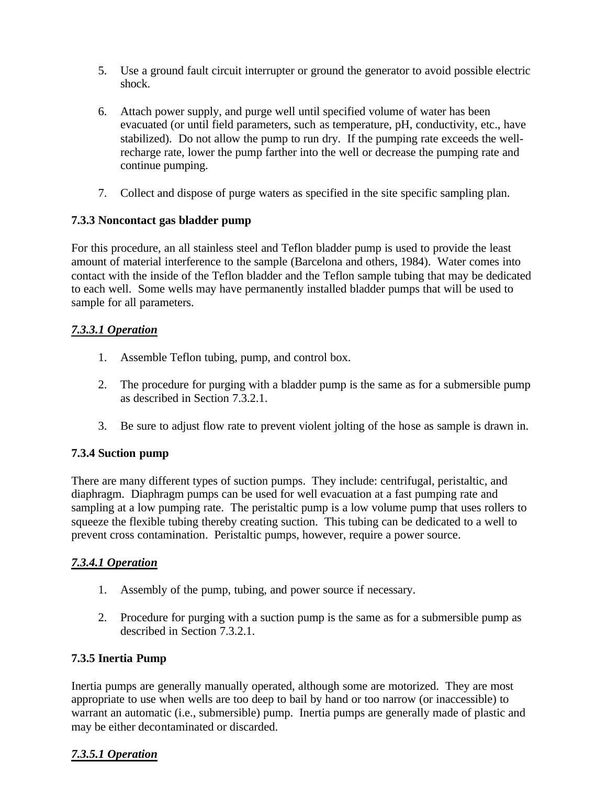- 5. Use a ground fault circuit interrupter or ground the generator to avoid possible electric shock.
- 6. Attach power supply, and purge well until specified volume of water has been evacuated (or until field parameters, such as temperature, pH, conductivity, etc., have stabilized). Do not allow the pump to run dry. If the pumping rate exceeds the wellrecharge rate, lower the pump farther into the well or decrease the pumping rate and continue pumping.
- 7. Collect and dispose of purge waters as specified in the site specific sampling plan.

#### **7.3.3 Noncontact gas bladder pump**

For this procedure, an all stainless steel and Teflon bladder pump is used to provide the least amount of material interference to the sample (Barcelona and others, 1984). Water comes into contact with the inside of the Teflon bladder and the Teflon sample tubing that may be dedicated to each well. Some wells may have permanently installed bladder pumps that will be used to sample for all parameters.

# *7.3.3.1 Operation*

- 1. Assemble Teflon tubing, pump, and control box.
- 2. The procedure for purging with a bladder pump is the same as for a submersible pump as described in Section 7.3.2.1.
- 3. Be sure to adjust flow rate to prevent violent jolting of the hose as sample is drawn in.

# **7.3.4 Suction pump**

There are many different types of suction pumps. They include: centrifugal, peristaltic, and diaphragm. Diaphragm pumps can be used for well evacuation at a fast pumping rate and sampling at a low pumping rate. The peristaltic pump is a low volume pump that uses rollers to squeeze the flexible tubing thereby creating suction. This tubing can be dedicated to a well to prevent cross contamination. Peristaltic pumps, however, require a power source.

#### *7.3.4.1 Operation*

- 1. Assembly of the pump, tubing, and power source if necessary.
- 2. Procedure for purging with a suction pump is the same as for a submersible pump as described in Section 7.3.2.1.

#### **7.3.5 Inertia Pump**

Inertia pumps are generally manually operated, although some are motorized. They are most appropriate to use when wells are too deep to bail by hand or too narrow (or inaccessible) to warrant an automatic (i.e., submersible) pump. Inertia pumps are generally made of plastic and may be either decontaminated or discarded.

# *7.3.5.1 Operation*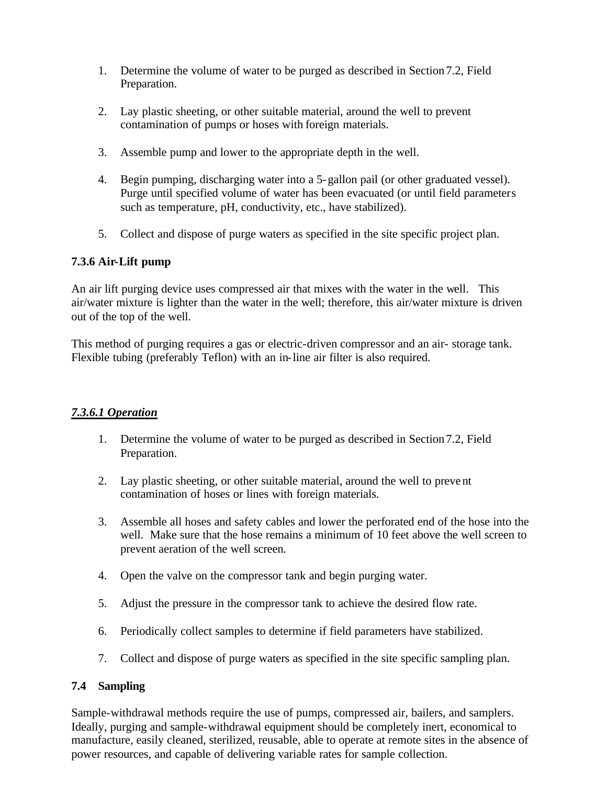- 1. Determine the volume of water to be purged as described in Section7.2, Field Preparation.
- 2. Lay plastic sheeting, or other suitable material, around the well to prevent contamination of pumps or hoses with foreign materials.
- 3. Assemble pump and lower to the appropriate depth in the well.
- 4. Begin pumping, discharging water into a 5-gallon pail (or other graduated vessel). Purge until specified volume of water has been evacuated (or until field parameters such as temperature, pH, conductivity, etc., have stabilized).
- 5. Collect and dispose of purge waters as specified in the site specific project plan.

# **7.3.6 Air-Lift pump**

An air lift purging device uses compressed air that mixes with the water in the well. This air/water mixture is lighter than the water in the well; therefore, this air/water mixture is driven out of the top of the well.

This method of purging requires a gas or electric-driven compressor and an air- storage tank. Flexible tubing (preferably Teflon) with an in-line air filter is also required.

#### *7.3.6.1 Operation*

- 1. Determine the volume of water to be purged as described in Section7.2, Field Preparation.
- 2. Lay plastic sheeting, or other suitable material, around the well to prevent contamination of hoses or lines with foreign materials.
- 3. Assemble all hoses and safety cables and lower the perforated end of the hose into the well. Make sure that the hose remains a minimum of 10 feet above the well screen to prevent aeration of the well screen.
- 4. Open the valve on the compressor tank and begin purging water.
- 5. Adjust the pressure in the compressor tank to achieve the desired flow rate.
- 6. Periodically collect samples to determine if field parameters have stabilized.
- 7. Collect and dispose of purge waters as specified in the site specific sampling plan.

#### **7.4 Sampling**

Sample-withdrawal methods require the use of pumps, compressed air, bailers, and samplers. Ideally, purging and sample-withdrawal equipment should be completely inert, economical to manufacture, easily cleaned, sterilized, reusable, able to operate at remote sites in the absence of power resources, and capable of delivering variable rates for sample collection.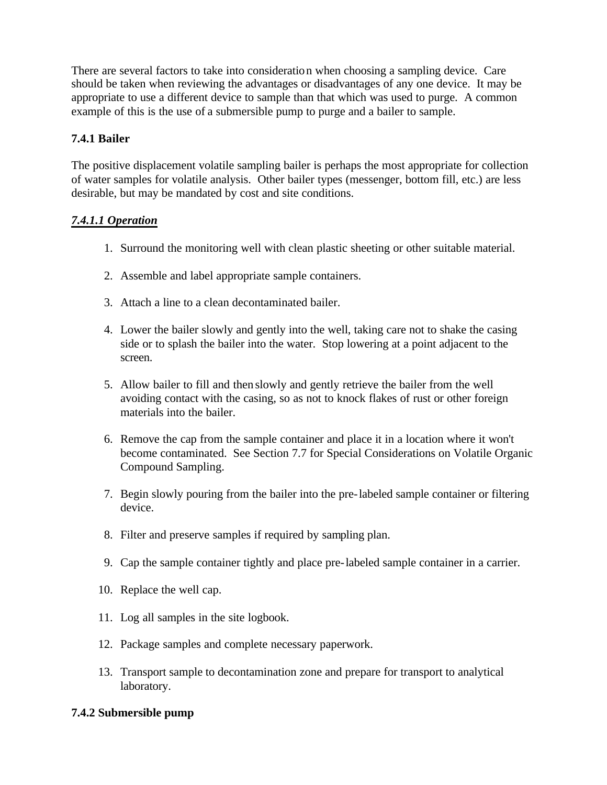There are several factors to take into consideration when choosing a sampling device. Care should be taken when reviewing the advantages or disadvantages of any one device. It may be appropriate to use a different device to sample than that which was used to purge. A common example of this is the use of a submersible pump to purge and a bailer to sample.

# **7.4.1 Bailer**

The positive displacement volatile sampling bailer is perhaps the most appropriate for collection of water samples for volatile analysis. Other bailer types (messenger, bottom fill, etc.) are less desirable, but may be mandated by cost and site conditions.

#### *7.4.1.1 Operation*

- 1. Surround the monitoring well with clean plastic sheeting or other suitable material.
- 2. Assemble and label appropriate sample containers.
- 3. Attach a line to a clean decontaminated bailer.
- 4. Lower the bailer slowly and gently into the well, taking care not to shake the casing side or to splash the bailer into the water. Stop lowering at a point adjacent to the screen.
- 5. Allow bailer to fill and then slowly and gently retrieve the bailer from the well avoiding contact with the casing, so as not to knock flakes of rust or other foreign materials into the bailer.
- 6. Remove the cap from the sample container and place it in a location where it won't become contaminated. See Section 7.7 for Special Considerations on Volatile Organic Compound Sampling.
- 7. Begin slowly pouring from the bailer into the pre-labeled sample container or filtering device.
- 8. Filter and preserve samples if required by sampling plan.
- 9. Cap the sample container tightly and place pre-labeled sample container in a carrier.
- 10. Replace the well cap.
- 11. Log all samples in the site logbook.
- 12. Package samples and complete necessary paperwork.
- 13. Transport sample to decontamination zone and prepare for transport to analytical laboratory.

# **7.4.2 Submersible pump**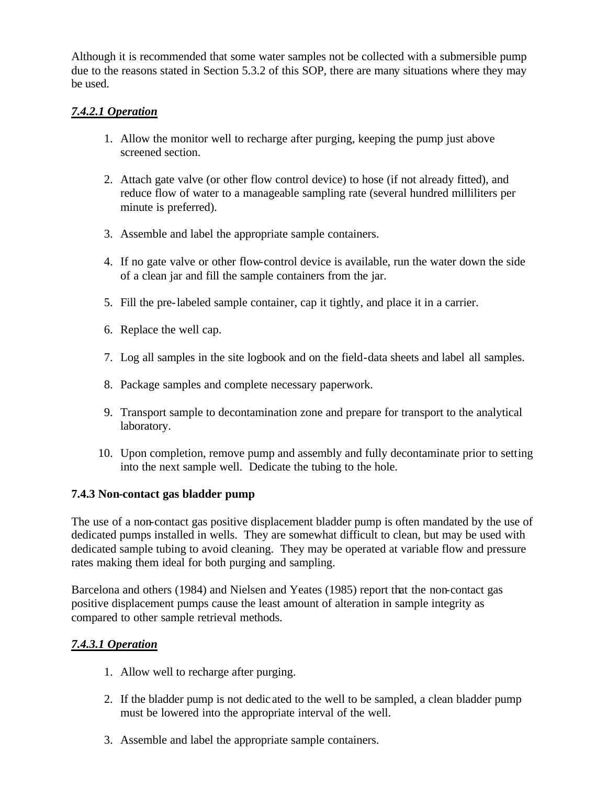Although it is recommended that some water samples not be collected with a submersible pump due to the reasons stated in Section 5.3.2 of this SOP, there are many situations where they may be used.

## *7.4.2.1 Operation*

- 1. Allow the monitor well to recharge after purging, keeping the pump just above screened section.
- 2. Attach gate valve (or other flow control device) to hose (if not already fitted), and reduce flow of water to a manageable sampling rate (several hundred milliliters per minute is preferred).
- 3. Assemble and label the appropriate sample containers.
- 4. If no gate valve or other flow-control device is available, run the water down the side of a clean jar and fill the sample containers from the jar.
- 5. Fill the pre-labeled sample container, cap it tightly, and place it in a carrier.
- 6. Replace the well cap.
- 7. Log all samples in the site logbook and on the field-data sheets and label all samples.
- 8. Package samples and complete necessary paperwork.
- 9. Transport sample to decontamination zone and prepare for transport to the analytical laboratory.
- 10. Upon completion, remove pump and assembly and fully decontaminate prior to setting into the next sample well. Dedicate the tubing to the hole.

#### **7.4.3 Non-contact gas bladder pump**

The use of a non-contact gas positive displacement bladder pump is often mandated by the use of dedicated pumps installed in wells. They are somewhat difficult to clean, but may be used with dedicated sample tubing to avoid cleaning. They may be operated at variable flow and pressure rates making them ideal for both purging and sampling.

Barcelona and others (1984) and Nielsen and Yeates (1985) report that the non-contact gas positive displacement pumps cause the least amount of alteration in sample integrity as compared to other sample retrieval methods.

# *7.4.3.1 Operation*

- 1. Allow well to recharge after purging.
- 2. If the bladder pump is not dedic ated to the well to be sampled, a clean bladder pump must be lowered into the appropriate interval of the well.
- 3. Assemble and label the appropriate sample containers.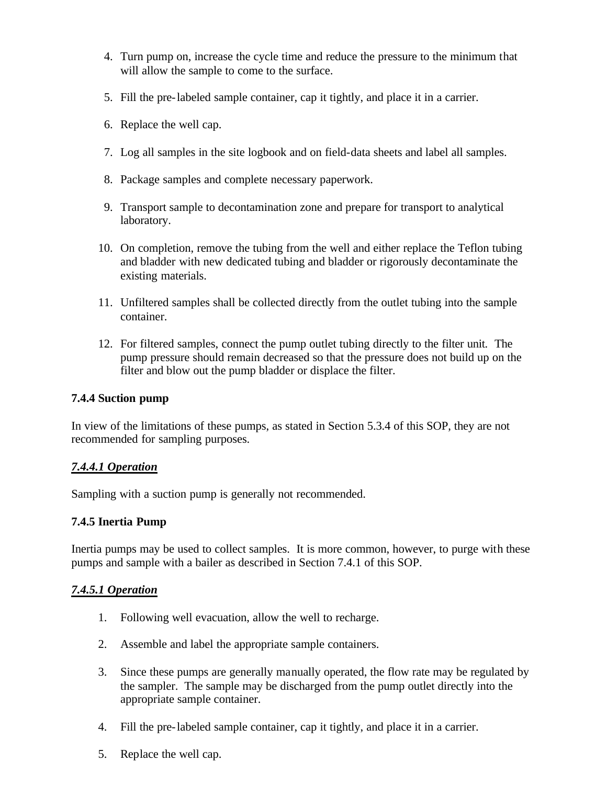- 4. Turn pump on, increase the cycle time and reduce the pressure to the minimum that will allow the sample to come to the surface.
- 5. Fill the pre-labeled sample container, cap it tightly, and place it in a carrier.
- 6. Replace the well cap.
- 7. Log all samples in the site logbook and on field-data sheets and label all samples.
- 8. Package samples and complete necessary paperwork.
- 9. Transport sample to decontamination zone and prepare for transport to analytical laboratory.
- 10. On completion, remove the tubing from the well and either replace the Teflon tubing and bladder with new dedicated tubing and bladder or rigorously decontaminate the existing materials.
- 11. Unfiltered samples shall be collected directly from the outlet tubing into the sample container.
- 12. For filtered samples, connect the pump outlet tubing directly to the filter unit. The pump pressure should remain decreased so that the pressure does not build up on the filter and blow out the pump bladder or displace the filter.

#### **7.4.4 Suction pump**

In view of the limitations of these pumps, as stated in Section 5.3.4 of this SOP, they are not recommended for sampling purposes.

#### *7.4.4.1 Operation*

Sampling with a suction pump is generally not recommended.

#### **7.4.5 Inertia Pump**

Inertia pumps may be used to collect samples. It is more common, however, to purge with these pumps and sample with a bailer as described in Section 7.4.1 of this SOP.

#### *7.4.5.1 Operation*

- 1. Following well evacuation, allow the well to recharge.
- 2. Assemble and label the appropriate sample containers.
- 3. Since these pumps are generally manually operated, the flow rate may be regulated by the sampler. The sample may be discharged from the pump outlet directly into the appropriate sample container.
- 4. Fill the pre-labeled sample container, cap it tightly, and place it in a carrier.
- 5. Replace the well cap.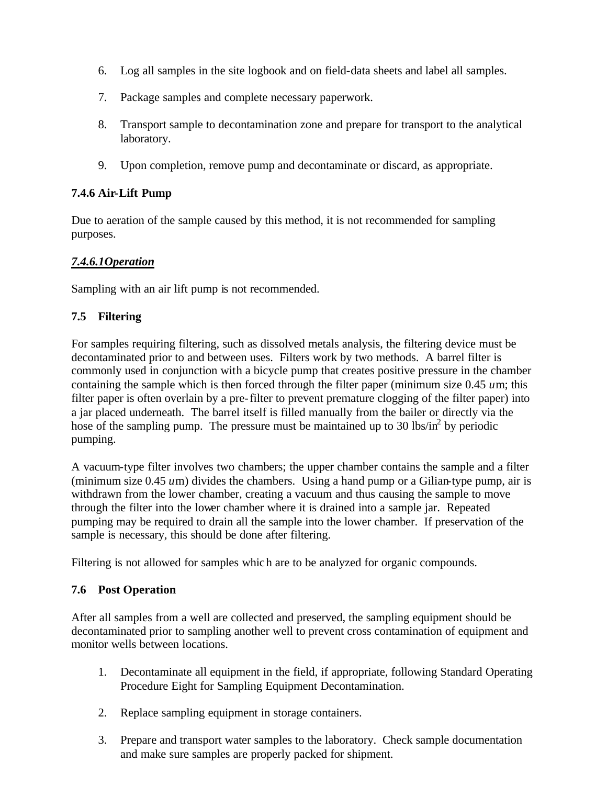- 6. Log all samples in the site logbook and on field-data sheets and label all samples.
- 7. Package samples and complete necessary paperwork.
- 8. Transport sample to decontamination zone and prepare for transport to the analytical laboratory.
- 9. Upon completion, remove pump and decontaminate or discard, as appropriate.

# **7.4.6 Air-Lift Pump**

Due to aeration of the sample caused by this method, it is not recommended for sampling purposes.

# *7.4.6.1Operation*

Sampling with an air lift pump is not recommended.

# **7.5 Filtering**

For samples requiring filtering, such as dissolved metals analysis, the filtering device must be decontaminated prior to and between uses. Filters work by two methods. A barrel filter is commonly used in conjunction with a bicycle pump that creates positive pressure in the chamber containing the sample which is then forced through the filter paper (minimum size 0.45 *u*m; this filter paper is often overlain by a pre-filter to prevent premature clogging of the filter paper) into a jar placed underneath. The barrel itself is filled manually from the bailer or directly via the hose of the sampling pump. The pressure must be maintained up to 30 lbs/in<sup>2</sup> by periodic pumping.

A vacuum-type filter involves two chambers; the upper chamber contains the sample and a filter (minimum size 0.45 *u*m) divides the chambers. Using a hand pump or a Gilian-type pump, air is withdrawn from the lower chamber, creating a vacuum and thus causing the sample to move through the filter into the lower chamber where it is drained into a sample jar. Repeated pumping may be required to drain all the sample into the lower chamber. If preservation of the sample is necessary, this should be done after filtering.

Filtering is not allowed for samples which are to be analyzed for organic compounds.

#### **7.6 Post Operation**

After all samples from a well are collected and preserved, the sampling equipment should be decontaminated prior to sampling another well to prevent cross contamination of equipment and monitor wells between locations.

- 1. Decontaminate all equipment in the field, if appropriate, following Standard Operating Procedure Eight for Sampling Equipment Decontamination.
- 2. Replace sampling equipment in storage containers.
- 3. Prepare and transport water samples to the laboratory. Check sample documentation and make sure samples are properly packed for shipment.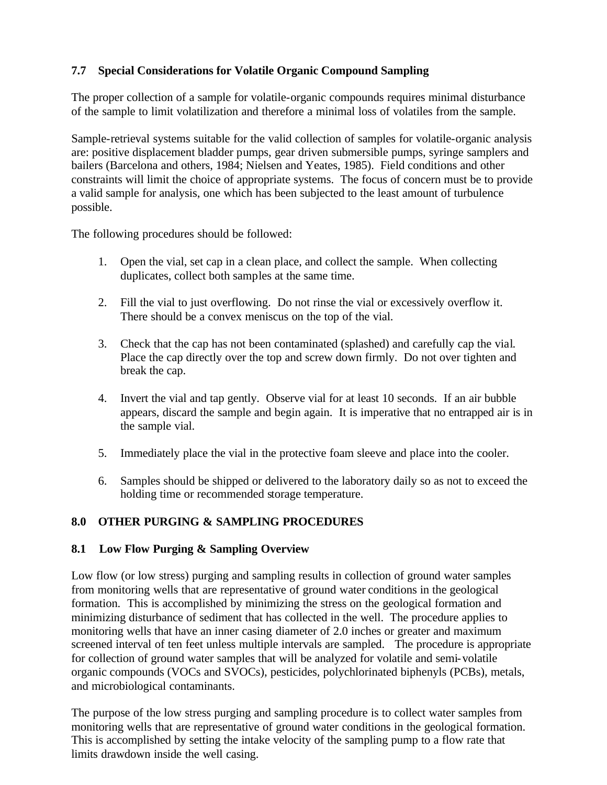### **7.7 Special Considerations for Volatile Organic Compound Sampling**

The proper collection of a sample for volatile-organic compounds requires minimal disturbance of the sample to limit volatilization and therefore a minimal loss of volatiles from the sample.

Sample-retrieval systems suitable for the valid collection of samples for volatile-organic analysis are: positive displacement bladder pumps, gear driven submersible pumps, syringe samplers and bailers (Barcelona and others, 1984; Nielsen and Yeates, 1985). Field conditions and other constraints will limit the choice of appropriate systems. The focus of concern must be to provide a valid sample for analysis, one which has been subjected to the least amount of turbulence possible.

The following procedures should be followed:

- 1. Open the vial, set cap in a clean place, and collect the sample. When collecting duplicates, collect both samples at the same time.
- 2. Fill the vial to just overflowing. Do not rinse the vial or excessively overflow it. There should be a convex meniscus on the top of the vial.
- 3. Check that the cap has not been contaminated (splashed) and carefully cap the vial. Place the cap directly over the top and screw down firmly. Do not over tighten and break the cap.
- 4. Invert the vial and tap gently. Observe vial for at least 10 seconds. If an air bubble appears, discard the sample and begin again. It is imperative that no entrapped air is in the sample vial.
- 5. Immediately place the vial in the protective foam sleeve and place into the cooler.
- 6. Samples should be shipped or delivered to the laboratory daily so as not to exceed the holding time or recommended storage temperature.

# **8.0 OTHER PURGING & SAMPLING PROCEDURES**

#### **8.1 Low Flow Purging & Sampling Overview**

Low flow (or low stress) purging and sampling results in collection of ground water samples from monitoring wells that are representative of ground water conditions in the geological formation. This is accomplished by minimizing the stress on the geological formation and minimizing disturbance of sediment that has collected in the well. The procedure applies to monitoring wells that have an inner casing diameter of 2.0 inches or greater and maximum screened interval of ten feet unless multiple intervals are sampled. The procedure is appropriate for collection of ground water samples that will be analyzed for volatile and semi-volatile organic compounds (VOCs and SVOCs), pesticides, polychlorinated biphenyls (PCBs), metals, and microbiological contaminants.

The purpose of the low stress purging and sampling procedure is to collect water samples from monitoring wells that are representative of ground water conditions in the geological formation. This is accomplished by setting the intake velocity of the sampling pump to a flow rate that limits drawdown inside the well casing.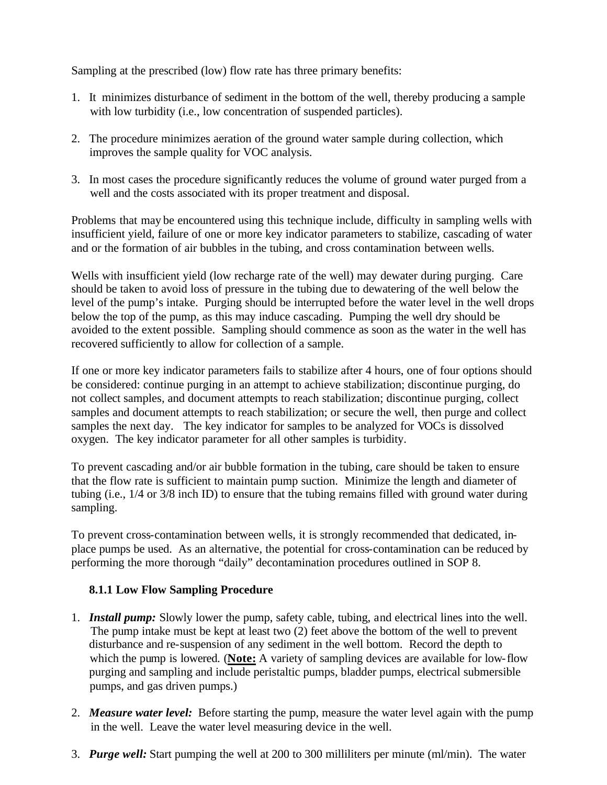Sampling at the prescribed (low) flow rate has three primary benefits:

- 1. It minimizes disturbance of sediment in the bottom of the well, thereby producing a sample with low turbidity (i.e., low concentration of suspended particles).
- 2. The procedure minimizes aeration of the ground water sample during collection, which improves the sample quality for VOC analysis.
- 3. In most cases the procedure significantly reduces the volume of ground water purged from a well and the costs associated with its proper treatment and disposal.

Problems that may be encountered using this technique include, difficulty in sampling wells with insufficient yield, failure of one or more key indicator parameters to stabilize, cascading of water and or the formation of air bubbles in the tubing, and cross contamination between wells.

Wells with insufficient yield (low recharge rate of the well) may dewater during purging. Care should be taken to avoid loss of pressure in the tubing due to dewatering of the well below the level of the pump's intake. Purging should be interrupted before the water level in the well drops below the top of the pump, as this may induce cascading. Pumping the well dry should be avoided to the extent possible. Sampling should commence as soon as the water in the well has recovered sufficiently to allow for collection of a sample.

If one or more key indicator parameters fails to stabilize after 4 hours, one of four options should be considered: continue purging in an attempt to achieve stabilization; discontinue purging, do not collect samples, and document attempts to reach stabilization; discontinue purging, collect samples and document attempts to reach stabilization; or secure the well, then purge and collect samples the next day. The key indicator for samples to be analyzed for VOCs is dissolved oxygen. The key indicator parameter for all other samples is turbidity.

To prevent cascading and/or air bubble formation in the tubing, care should be taken to ensure that the flow rate is sufficient to maintain pump suction. Minimize the length and diameter of tubing (i.e., 1/4 or 3/8 inch ID) to ensure that the tubing remains filled with ground water during sampling.

To prevent cross-contamination between wells, it is strongly recommended that dedicated, inplace pumps be used. As an alternative, the potential for cross-contamination can be reduced by performing the more thorough "daily" decontamination procedures outlined in SOP 8.

#### **8.1.1 Low Flow Sampling Procedure**

- 1. *Install pump:* Slowly lower the pump, safety cable, tubing, and electrical lines into the well. The pump intake must be kept at least two (2) feet above the bottom of the well to prevent disturbance and re-suspension of any sediment in the well bottom. Record the depth to which the pump is lowered. (**Note:** A variety of sampling devices are available for low-flow purging and sampling and include peristaltic pumps, bladder pumps, electrical submersible pumps, and gas driven pumps.)
- 2. *Measure water level:* Before starting the pump, measure the water level again with the pump in the well. Leave the water level measuring device in the well.
- 3. *Purge well:* Start pumping the well at 200 to 300 milliliters per minute (ml/min). The water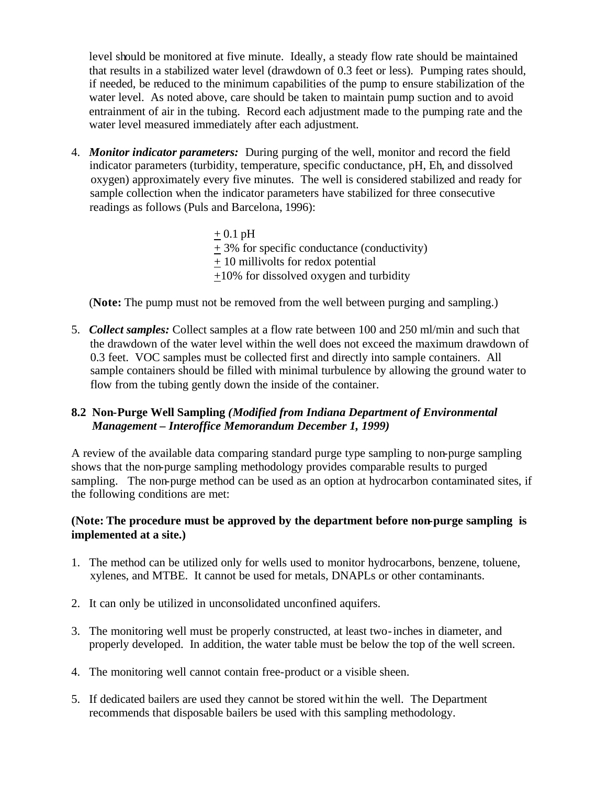level should be monitored at five minute. Ideally, a steady flow rate should be maintained that results in a stabilized water level (drawdown of 0.3 feet or less). Pumping rates should, if needed, be reduced to the minimum capabilities of the pump to ensure stabilization of the water level. As noted above, care should be taken to maintain pump suction and to avoid entrainment of air in the tubing. Record each adjustment made to the pumping rate and the water level measured immediately after each adjustment.

- 4. *Monitor indicator parameters:* During purging of the well, monitor and record the field indicator parameters (turbidity, temperature, specific conductance, pH, Eh, and dissolved oxygen) approximately every five minutes. The well is considered stabilized and ready for sample collection when the indicator parameters have stabilized for three consecutive readings as follows (Puls and Barcelona, 1996):
	- $+ 0.1$  pH + 3% for specific conductance (conductivity) + 10 millivolts for redox potential +10% for dissolved oxygen and turbidity

(**Note:** The pump must not be removed from the well between purging and sampling.)

5. *Collect samples:* Collect samples at a flow rate between 100 and 250 ml/min and such that the drawdown of the water level within the well does not exceed the maximum drawdown of 0.3 feet. VOC samples must be collected first and directly into sample containers. All sample containers should be filled with minimal turbulence by allowing the ground water to flow from the tubing gently down the inside of the container.

# **8.2 Non-Purge Well Sampling** *(Modified from Indiana Department of Environmental Management – Interoffice Memorandum December 1, 1999)*

A review of the available data comparing standard purge type sampling to non-purge sampling shows that the non-purge sampling methodology provides comparable results to purged sampling. The non-purge method can be used as an option at hydrocarbon contaminated sites, if the following conditions are met:

# **(Note: The procedure must be approved by the department before non-purge sampling is implemented at a site.)**

- 1. The method can be utilized only for wells used to monitor hydrocarbons, benzene, toluene, xylenes, and MTBE. It cannot be used for metals, DNAPLs or other contaminants.
- 2. It can only be utilized in unconsolidated unconfined aquifers.
- 3. The monitoring well must be properly constructed, at least two-inches in diameter, and properly developed. In addition, the water table must be below the top of the well screen.
- 4. The monitoring well cannot contain free-product or a visible sheen.
- 5. If dedicated bailers are used they cannot be stored within the well. The Department recommends that disposable bailers be used with this sampling methodology.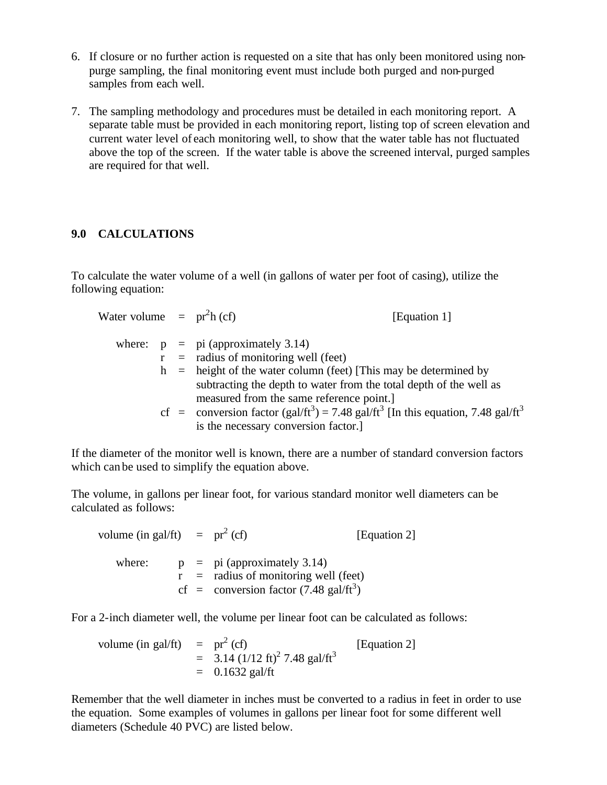- 6. If closure or no further action is requested on a site that has only been monitored using nonpurge sampling, the final monitoring event must include both purged and non-purged samples from each well.
- 7. The sampling methodology and procedures must be detailed in each monitoring report. A separate table must be provided in each monitoring report, listing top of screen elevation and current water level of each monitoring well, to show that the water table has not fluctuated above the top of the screen. If the water table is above the screened interval, purged samples are required for that well.

#### **9.0 CALCULATIONS**

To calculate the water volume of a well (in gallons of water per foot of casing), utilize the following equation:

| Water volume $=$ pr <sup>2</sup> h (cf) |  | [Equation 1]                                                                                               |
|-----------------------------------------|--|------------------------------------------------------------------------------------------------------------|
|                                         |  | where: $p = pi$ (approximately 3.14)                                                                       |
|                                         |  | $r =$ radius of monitoring well (feet)                                                                     |
|                                         |  | $h$ = height of the water column (feet) [This may be determined by                                         |
|                                         |  | subtracting the depth to water from the total depth of the well as                                         |
|                                         |  | measured from the same reference point.]                                                                   |
|                                         |  | cf = conversion factor $(gal/ft^3) = 7.48$ gal/ft <sup>3</sup> [In this equation, 7.48 gal/ft <sup>3</sup> |
|                                         |  | is the necessary conversion factor.                                                                        |

If the diameter of the monitor well is known, there are a number of standard conversion factors which can be used to simplify the equation above.

The volume, in gallons per linear foot, for various standard monitor well diameters can be calculated as follows:

volume (in gal/ft) =  $pr^2$  (cf) [Equation 2] where:  $p = pi$  (approximately 3.14)  $\mathbf{r}$  = radius of monitoring well (feet) cf = conversion factor  $(7.48 \text{ gal/ft}^3)$ 

For a 2-inch diameter well, the volume per linear foot can be calculated as follows:

volume (in gal/ft) = 
$$
pr^2
$$
 (cf)  
= 3.14 (1/12 ft)<sup>2</sup> 7.48 gal/ft<sup>3</sup>  
= 0.1632 gal/ft

Remember that the well diameter in inches must be converted to a radius in feet in order to use the equation. Some examples of volumes in gallons per linear foot for some different well diameters (Schedule 40 PVC) are listed below.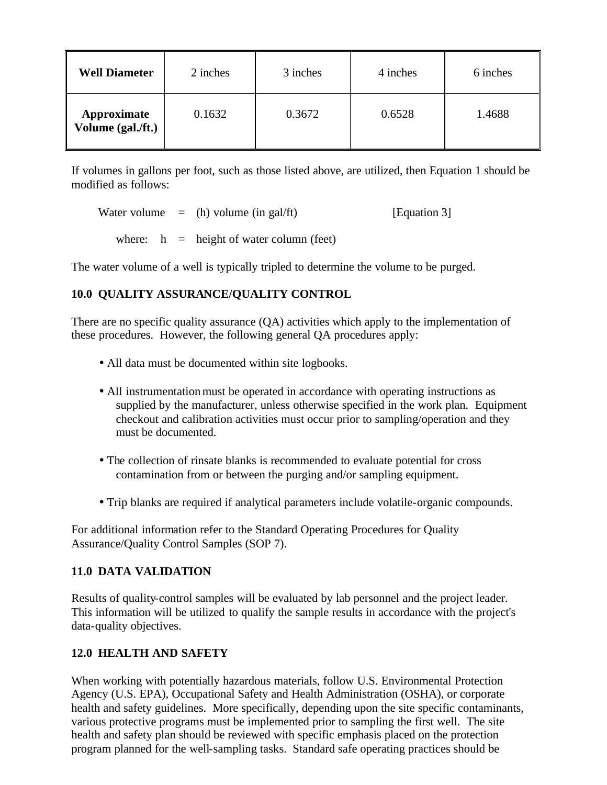| <b>Well Diameter</b>             | 2 inches | 3 inches | 4 inches | 6 inches |
|----------------------------------|----------|----------|----------|----------|
| Approximate<br>Volume (gal./ft.) | 0.1632   | 0.3672   | 0.6528   | 1.4688   |

If volumes in gallons per foot, such as those listed above, are utilized, then Equation 1 should be modified as follows:

Water volume  $=$  (h) volume (in gal/ft) [Equation 3]

where:  $h =$  height of water column (feet)

The water volume of a well is typically tripled to determine the volume to be purged.

# **10.0 QUALITY ASSURANCE/QUALITY CONTROL**

There are no specific quality assurance (QA) activities which apply to the implementation of these procedures. However, the following general QA procedures apply:

- All data must be documented within site logbooks.
- All instrumentation must be operated in accordance with operating instructions as supplied by the manufacturer, unless otherwise specified in the work plan. Equipment checkout and calibration activities must occur prior to sampling/operation and they must be documented.
- The collection of rinsate blanks is recommended to evaluate potential for cross contamination from or between the purging and/or sampling equipment.
- Trip blanks are required if analytical parameters include volatile-organic compounds.

For additional information refer to the Standard Operating Procedures for Quality Assurance/Quality Control Samples (SOP 7).

#### **11.0 DATA VALIDATION**

Results of quality-control samples will be evaluated by lab personnel and the project leader. This information will be utilized to qualify the sample results in accordance with the project's data-quality objectives.

# **12.0 HEALTH AND SAFETY**

When working with potentially hazardous materials, follow U.S. Environmental Protection Agency (U.S. EPA), Occupational Safety and Health Administration (OSHA), or corporate health and safety guidelines. More specifically, depending upon the site specific contaminants, various protective programs must be implemented prior to sampling the first well. The site health and safety plan should be reviewed with specific emphasis placed on the protection program planned for the well-sampling tasks. Standard safe operating practices should be